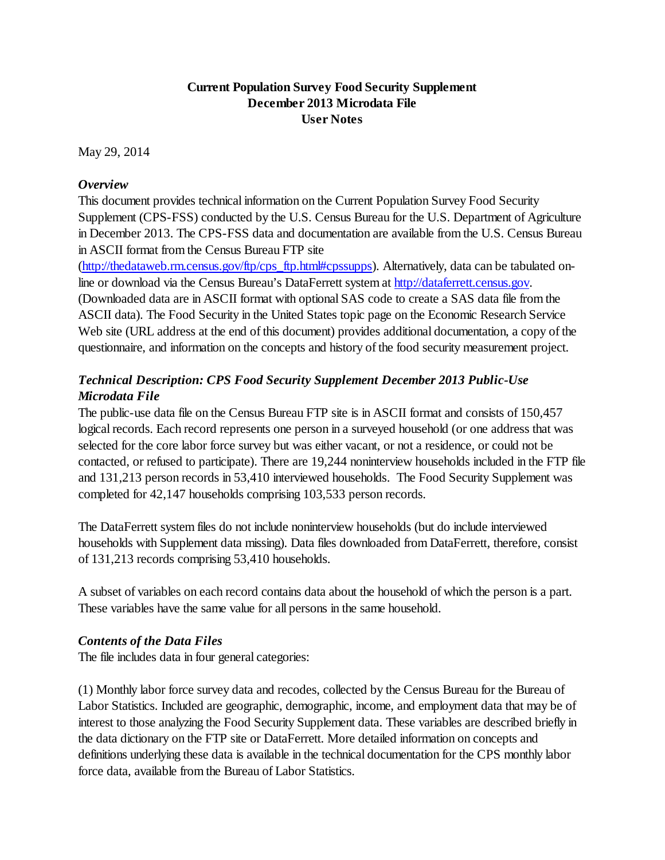## **Current Population Survey Food Security Supplement December 2013 Microdata File User Notes**

May 29, 2014

### *Overview*

This document provides technical information on the Current Population Survey Food Security Supplement (CPS-FSS) conducted by the U.S. Census Bureau for the U.S. Department of Agriculture in December 2013. The CPS-FSS data and documentation are available from the U.S. Census Bureau in ASCII format from the Census Bureau FTP site

[\(http://thedataweb.rm.census.gov/ftp/cps\\_ftp.html#cpssupps\)](http://thedataweb.rm.census.gov/ftp/cps_ftp.html#cpssupps). Alternatively, data can be tabulated online or download via the Census Bureau's DataFerrett system at [http://dataferrett.census.gov.](http://dataferrett.census.gov/) (Downloaded data are in ASCII format with optional SAS code to create a SAS data file from the ASCII data). The Food Security in the United States topic page on the Economic Research Service Web site (URL address at the end of this document) provides additional documentation, a copy of the questionnaire, and information on the concepts and history of the food security measurement project.

# *Technical Description: CPS Food Security Supplement December 2013 Public-Use Microdata File*

The public-use data file on the Census Bureau FTP site is in ASCII format and consists of 150,457 logical records. Each record represents one person in a surveyed household (or one address that was selected for the core labor force survey but was either vacant, or not a residence, or could not be contacted, or refused to participate). There are 19,244 noninterview households included in the FTP file and 131,213 person records in 53,410 interviewed households. The Food Security Supplement was completed for 42,147 households comprising 103,533 person records.

The DataFerrett system files do not include noninterview households (but do include interviewed households with Supplement data missing). Data files downloaded from DataFerrett, therefore, consist of 131,213 records comprising 53,410 households.

A subset of variables on each record contains data about the household of which the person is a part. These variables have the same value for all persons in the same household.

### *Contents of the Data Files*

The file includes data in four general categories:

(1) Monthly labor force survey data and recodes, collected by the Census Bureau for the Bureau of Labor Statistics. Included are geographic, demographic, income, and employment data that may be of interest to those analyzing the Food Security Supplement data. These variables are described briefly in the data dictionary on the FTP site or DataFerrett. More detailed information on concepts and definitions underlying these data is available in the technical documentation for the CPS monthly labor force data, available from the Bureau of Labor Statistics.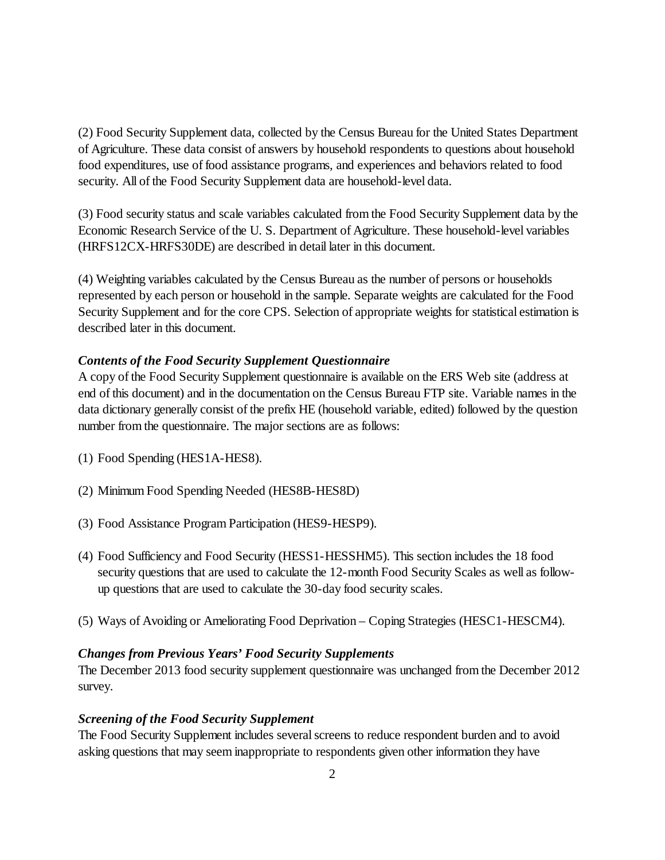(2) Food Security Supplement data, collected by the Census Bureau for the United States Department of Agriculture. These data consist of answers by household respondents to questions about household food expenditures, use of food assistance programs, and experiences and behaviors related to food security. All of the Food Security Supplement data are household-level data.

(3) Food security status and scale variables calculated from the Food Security Supplement data by the Economic Research Service of the U. S. Department of Agriculture. These household-level variables (HRFS12CX-HRFS30DE) are described in detail later in this document.

(4) Weighting variables calculated by the Census Bureau as the number of persons or households represented by each person or household in the sample. Separate weights are calculated for the Food Security Supplement and for the core CPS. Selection of appropriate weights for statistical estimation is described later in this document.

## *Contents of the Food Security Supplement Questionnaire*

A copy of the Food Security Supplement questionnaire is available on the ERS Web site (address at end of this document) and in the documentation on the Census Bureau FTP site. Variable names in the data dictionary generally consist of the prefix HE (household variable, edited) followed by the question number from the questionnaire. The major sections are as follows:

- (1) Food Spending (HES1A-HES8).
- (2) Minimum Food Spending Needed (HES8B-HES8D)
- (3) Food Assistance Program Participation (HES9-HESP9).
- (4) Food Sufficiency and Food Security (HESS1-HESSHM5). This section includes the 18 food security questions that are used to calculate the 12-month Food Security Scales as well as followup questions that are used to calculate the 30-day food security scales.
- (5) Ways of Avoiding or Ameliorating Food Deprivation Coping Strategies (HESC1-HESCM4).

### *Changes from Previous Years' Food Security Supplements*

The December 2013 food security supplement questionnaire was unchanged from the December 2012 survey.

### *Screening of the Food Security Supplement*

The Food Security Supplement includes several screens to reduce respondent burden and to avoid asking questions that may seem inappropriate to respondents given other information they have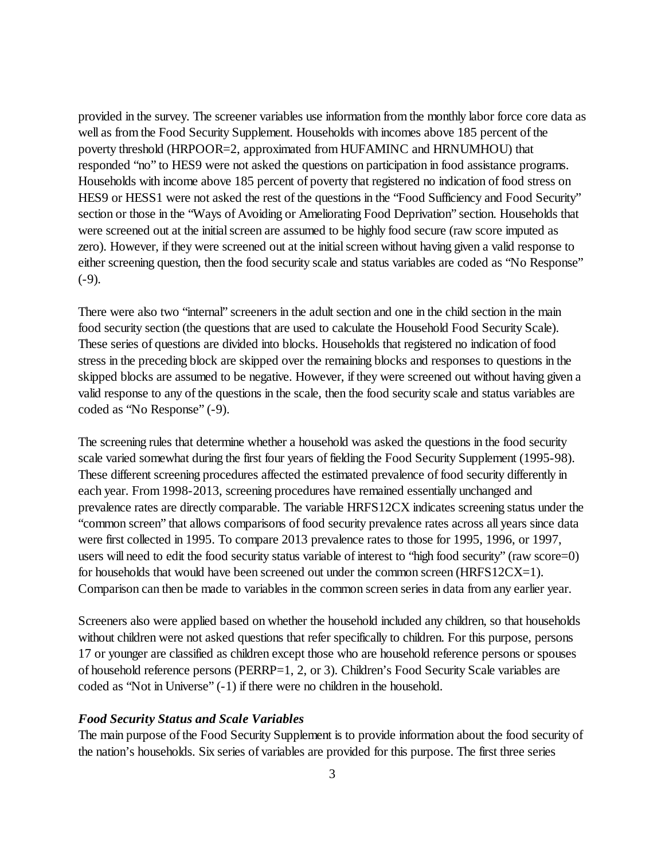provided in the survey. The screener variables use information from the monthly labor force core data as well as from the Food Security Supplement. Households with incomes above 185 percent of the poverty threshold (HRPOOR=2, approximated from HUFAMINC and HRNUMHOU) that responded "no" to HES9 were not asked the questions on participation in food assistance programs. Households with income above 185 percent of poverty that registered no indication of food stress on HES9 or HESS1 were not asked the rest of the questions in the "Food Sufficiency and Food Security" section or those in the "Ways of Avoiding or Ameliorating Food Deprivation" section. Households that were screened out at the initial screen are assumed to be highly food secure (raw score imputed as zero). However, if they were screened out at the initial screen without having given a valid response to either screening question, then the food security scale and status variables are coded as "No Response"  $(-9)$ .

There were also two "internal" screeners in the adult section and one in the child section in the main food security section (the questions that are used to calculate the Household Food Security Scale). These series of questions are divided into blocks. Households that registered no indication of food stress in the preceding block are skipped over the remaining blocks and responses to questions in the skipped blocks are assumed to be negative. However, if they were screened out without having given a valid response to any of the questions in the scale, then the food security scale and status variables are coded as "No Response" (-9).

The screening rules that determine whether a household was asked the questions in the food security scale varied somewhat during the first four years of fielding the Food Security Supplement (1995-98). These different screening procedures affected the estimated prevalence of food security differently in each year. From 1998-2013, screening procedures have remained essentially unchanged and prevalence rates are directly comparable. The variable HRFS12CX indicates screening status under the "common screen" that allows comparisons of food security prevalence rates across all years since data were first collected in 1995. To compare 2013 prevalence rates to those for 1995, 1996, or 1997, users will need to edit the food security status variable of interest to "high food security" (raw score=0) for households that would have been screened out under the common screen (HRFS12CX=1). Comparison can then be made to variables in the common screen series in data from any earlier year.

Screeners also were applied based on whether the household included any children, so that households without children were not asked questions that refer specifically to children. For this purpose, persons 17 or younger are classified as children except those who are household reference persons or spouses of household reference persons (PERRP=1, 2, or 3). Children's Food Security Scale variables are coded as "Not in Universe" (-1) if there were no children in the household.

#### *Food Security Status and Scale Variables*

The main purpose of the Food Security Supplement is to provide information about the food security of the nation's households. Six series of variables are provided for this purpose. The first three series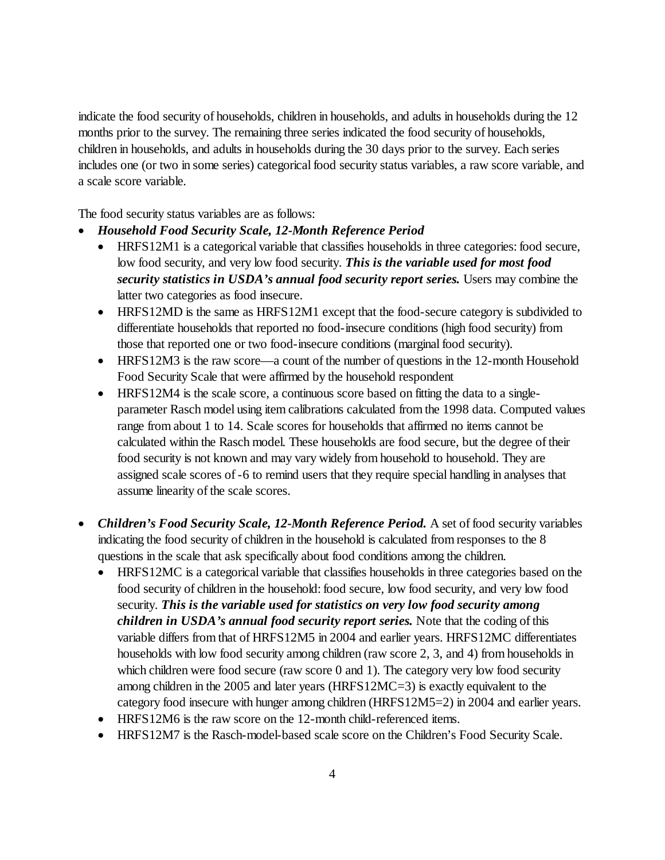indicate the food security of households, children in households, and adults in households during the 12 months prior to the survey. The remaining three series indicated the food security of households, children in households, and adults in households during the 30 days prior to the survey. Each series includes one (or two in some series) categorical food security status variables, a raw score variable, and a scale score variable.

The food security status variables are as follows:

- *Household Food Security Scale, 12-Month Reference Period*
	- HRFS12M1 is a categorical variable that classifies households in three categories: food secure, low food security, and very low food security. *This is the variable used for most food security statistics in USDA's annual food security report series.* Users may combine the latter two categories as food insecure.
	- HRFS12MD is the same as HRFS12M1 except that the food-secure category is subdivided to differentiate households that reported no food-insecure conditions (high food security) from those that reported one or two food-insecure conditions (marginal food security).
	- HRFS12M3 is the raw score—a count of the number of questions in the 12-month Household Food Security Scale that were affirmed by the household respondent
	- HRFS12M4 is the scale score, a continuous score based on fitting the data to a singleparameter Rasch model using item calibrations calculated from the 1998 data. Computed values range from about 1 to 14. Scale scores for households that affirmed no items cannot be calculated within the Rasch model. These households are food secure, but the degree of their food security is not known and may vary widely from household to household. They are assigned scale scores of -6 to remind users that they require special handling in analyses that assume linearity of the scale scores.
- *Children's Food Security Scale, 12-Month Reference Period.* A set of food security variables indicating the food security of children in the household is calculated from responses to the 8 questions in the scale that ask specifically about food conditions among the children.
	- HRFS12MC is a categorical variable that classifies households in three categories based on the food security of children in the household: food secure, low food security, and very low food security. *This is the variable used for statistics on very low food security among children in USDA's annual food security report series.* Note that the coding of this variable differs from that of HRFS12M5 in 2004 and earlier years. HRFS12MC differentiates households with low food security among children (raw score 2, 3, and 4) from households in which children were food secure (raw score 0 and 1). The category very low food security among children in the 2005 and later years (HRFS12MC=3) is exactly equivalent to the category food insecure with hunger among children (HRFS12M5=2) in 2004 and earlier years.
	- HRFS12M6 is the raw score on the 12-month child-referenced items.
	- HRFS12M7 is the Rasch-model-based scale score on the Children's Food Security Scale.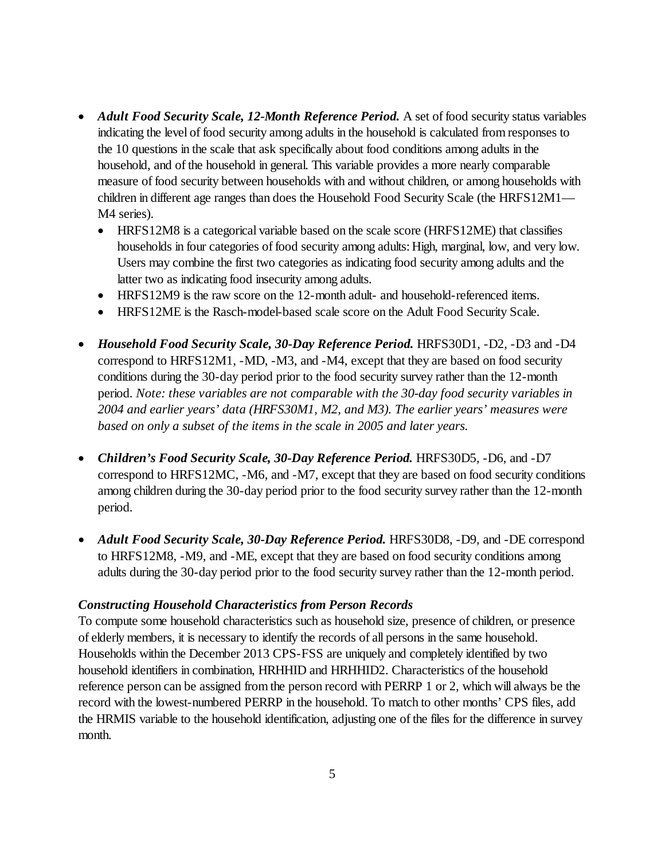- *Adult Food Security Scale, 12-Month Reference Period.* A set of food security status variables indicating the level of food security among adults in the household is calculated from responses to the 10 questions in the scale that ask specifically about food conditions among adults in the household, and of the household in general. This variable provides a more nearly comparable measure of food security between households with and without children, or among households with children in different age ranges than does the Household Food Security Scale (the HRFS12M1— M4 series).
	- HRFS12M8 is a categorical variable based on the scale score (HRFS12ME) that classifies households in four categories of food security among adults: High, marginal, low, and very low. Users may combine the first two categories as indicating food security among adults and the latter two as indicating food insecurity among adults.
	- HRFS12M9 is the raw score on the 12-month adult- and household-referenced items.
	- HRFS12ME is the Rasch-model-based scale score on the Adult Food Security Scale.
- *Household Food Security Scale, 30-Day Reference Period.* HRFS30D1, -D2, -D3 and -D4 correspond to HRFS12M1, -MD, -M3, and -M4, except that they are based on food security conditions during the 30-day period prior to the food security survey rather than the 12-month period. *Note: these variables are not comparable with the 30-day food security variables in 2004 and earlier years' data (HRFS30M1, M2, and M3). The earlier years' measures were based on only a subset of the items in the scale in 2005 and later years.*
- *Children's Food Security Scale, 30-Day Reference Period.* HRFS30D5, -D6, and -D7 correspond to HRFS12MC, -M6, and -M7, except that they are based on food security conditions among children during the 30-day period prior to the food security survey rather than the 12-month period.
- *Adult Food Security Scale, 30-Day Reference Period.* HRFS30D8, -D9, and -DE correspond to HRFS12M8, -M9, and -ME, except that they are based on food security conditions among adults during the 30-day period prior to the food security survey rather than the 12-month period.

#### *Constructing Household Characteristics from Person Records*

To compute some household characteristics such as household size, presence of children, or presence of elderly members, it is necessary to identify the records of all persons in the same household. Households within the December 2013 CPS-FSS are uniquely and completely identified by two household identifiers in combination, HRHHID and HRHHID2. Characteristics of the household reference person can be assigned from the person record with PERRP 1 or 2, which will always be the record with the lowest-numbered PERRP in the household. To match to other months' CPS files, add the HRMIS variable to the household identification, adjusting one of the files for the difference in survey month.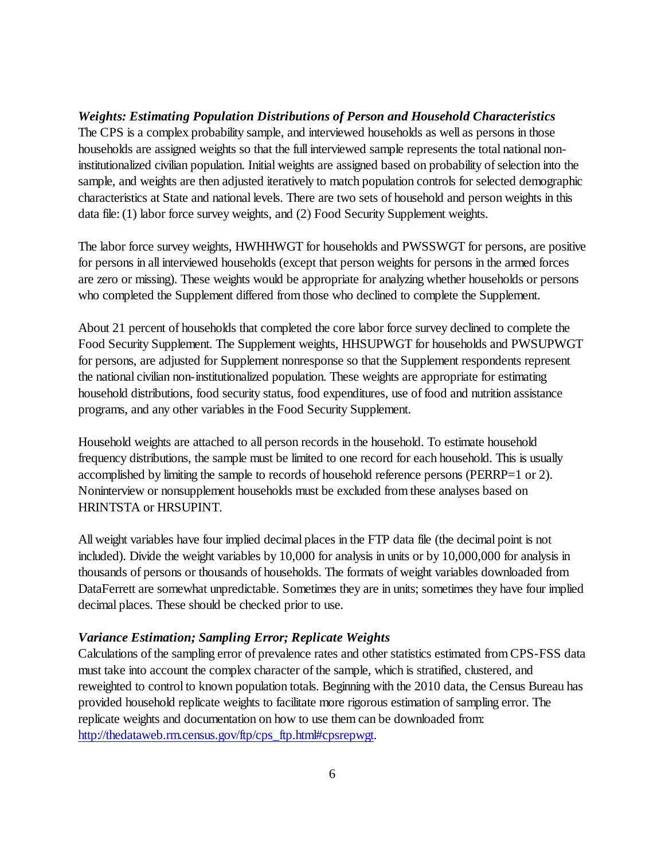*Weights: Estimating Population Distributions of Person and Household Characteristics* The CPS is a complex probability sample, and interviewed households as well as persons in those households are assigned weights so that the full interviewed sample represents the total national noninstitutionalized civilian population. Initial weights are assigned based on probability of selection into the sample, and weights are then adjusted iteratively to match population controls for selected demographic characteristics at State and national levels. There are two sets of household and person weights in this data file: (1) labor force survey weights, and (2) Food Security Supplement weights.

The labor force survey weights, HWHHWGT for households and PWSSWGT for persons, are positive for persons in all interviewed households (except that person weights for persons in the armed forces are zero or missing). These weights would be appropriate for analyzing whether households or persons who completed the Supplement differed from those who declined to complete the Supplement.

About 21 percent of households that completed the core labor force survey declined to complete the Food Security Supplement. The Supplement weights, HHSUPWGT for households and PWSUPWGT for persons, are adjusted for Supplement nonresponse so that the Supplement respondents represent the national civilian non-institutionalized population. These weights are appropriate for estimating household distributions, food security status, food expenditures, use of food and nutrition assistance programs, and any other variables in the Food Security Supplement.

Household weights are attached to all person records in the household. To estimate household frequency distributions, the sample must be limited to one record for each household. This is usually accomplished by limiting the sample to records of household reference persons (PERRP=1 or 2). Noninterview or nonsupplement households must be excluded from these analyses based on HRINTSTA or HRSUPINT.

All weight variables have four implied decimal places in the FTP data file (the decimal point is not included). Divide the weight variables by 10,000 for analysis in units or by 10,000,000 for analysis in thousands of persons or thousands of households. The formats of weight variables downloaded from DataFerrett are somewhat unpredictable. Sometimes they are in units; sometimes they have four implied decimal places. These should be checked prior to use.

#### *Variance Estimation; Sampling Error; Replicate Weights*

Calculations of the sampling error of prevalence rates and other statistics estimated from CPS-FSS data must take into account the complex character of the sample, which is stratified, clustered, and reweighted to control to known population totals. Beginning with the 2010 data, the Census Bureau has provided household replicate weights to facilitate more rigorous estimation of sampling error. The replicate weights and documentation on how to use them can be downloaded from: [http://thedataweb.rm.census.gov/ftp/cps\\_ftp.html#cpsrepwgt.](http://thedataweb.rm.census.gov/ftp/cps_ftp.html#cpsrepwgt)